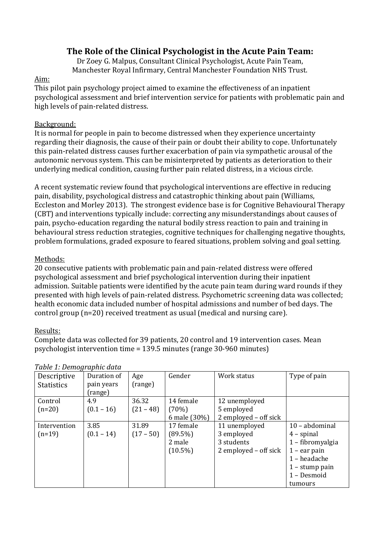# **The Role of the Clinical Psychologist in the Acute Pain Team:**

Dr Zoey G. Malpus, Consultant Clinical Psychologist, Acute Pain Team, Manchester Royal Infirmary, Central Manchester Foundation NHS Trust.

#### Aim:

This pilot pain psychology project aimed to examine the effectiveness of an inpatient psychological assessment and brief intervention service for patients with problematic pain and high levels of pain-related distress.

### Background:

It is normal for people in pain to become distressed when they experience uncertainty regarding their diagnosis, the cause of their pain or doubt their ability to cope. Unfortunately this pain-related distress causes further exacerbation of pain via sympathetic arousal of the autonomic nervous system. This can be misinterpreted by patients as deterioration to their underlying medical condition, causing further pain related distress, in a vicious circle.

A recent systematic review found that psychological interventions are effective in reducing pain, disability, psychological distress and catastrophic thinking about pain (Williams, Eccleston and Morley 2013). The strongest evidence base is for Cognitive Behavioural Therapy (CBT) and interventions typically include: correcting any misunderstandings about causes of pain, psycho-education regarding the natural bodily stress reaction to pain and training in behavioural stress reduction strategies, cognitive techniques for challenging negative thoughts, problem formulations, graded exposure to feared situations, problem solving and goal setting.

#### Methods:

20 consecutive patients with problematic pain and pain-related distress were offered psychological assessment and brief psychological intervention during their inpatient admission. Suitable patients were identified by the acute pain team during ward rounds if they presented with high levels of pain-related distress. Psychometric screening data was collected; health economic data included number of hospital admissions and number of bed days. The control group (n=20) received treatment as usual (medical and nursing care).

#### Results:

Complete data was collected for 39 patients, 20 control and 19 intervention cases. Mean psychologist intervention time = 139.5 minutes (range 30-960 minutes)

| Descriptive<br><b>Statistics</b> | Duration of<br>pain years<br>(range) | Age<br>(range)       | Gender                                          | Work status                                                        | Type of pain                                                                                                                       |
|----------------------------------|--------------------------------------|----------------------|-------------------------------------------------|--------------------------------------------------------------------|------------------------------------------------------------------------------------------------------------------------------------|
| Control<br>$(n=20)$              | 4.9<br>$(0.1 - 16)$                  | 36.32<br>$(21 - 48)$ | 14 female<br>(70%)<br>6 male (30%)              | 12 unemployed<br>5 employed<br>2 employed – off sick               |                                                                                                                                    |
| Intervention<br>$(n=19)$         | 3.85<br>$(0.1 - 14)$                 | 31.89<br>$(17 - 50)$ | 17 female<br>$(89.5\%)$<br>2 male<br>$(10.5\%)$ | 11 unemployed<br>3 employed<br>3 students<br>2 employed – off sick | 10 - abdominal<br>$4$ – spinal<br>1 - fibromyalgia<br>$1$ – ear pain<br>1 - headache<br>$1 -$ stump pain<br>1 - Desmoid<br>tumours |

#### *Table 1: Demographic data*